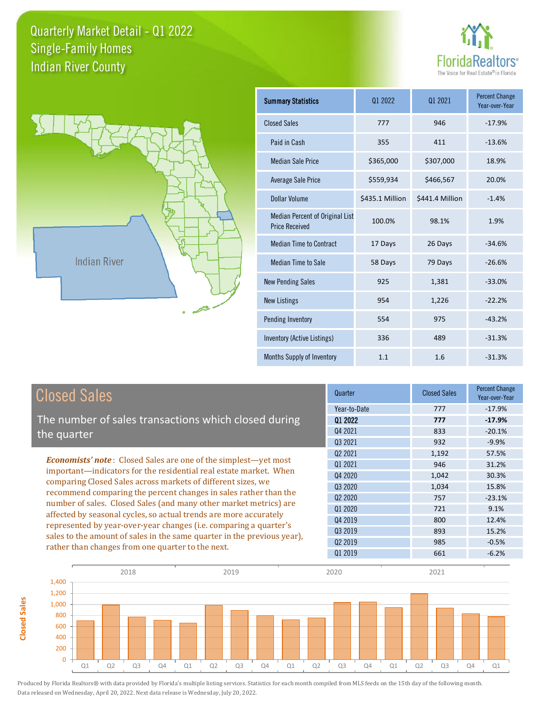



**Closed Sales**

**Closed Sales** 

| <b>Summary Statistics</b>                                | 01 2022         | 01 2021         | <b>Percent Change</b><br>Year-over-Year |
|----------------------------------------------------------|-----------------|-----------------|-----------------------------------------|
| <b>Closed Sales</b>                                      | 777             | 946             | $-17.9%$                                |
| Paid in Cash                                             | 355             | 411             | $-13.6%$                                |
| <b>Median Sale Price</b>                                 | \$365,000       | \$307,000       | 18.9%                                   |
| <b>Average Sale Price</b>                                | \$559,934       | \$466,567       | 20.0%                                   |
| Dollar Volume                                            | \$435.1 Million | \$441.4 Million | $-1.4%$                                 |
| Median Percent of Original List<br><b>Price Received</b> | 100.0%          | 98.1%           | 1.9%                                    |
| <b>Median Time to Contract</b>                           | 17 Days         | 26 Days         | $-34.6%$                                |
| <b>Median Time to Sale</b>                               | 58 Days         | 79 Days         | $-26.6%$                                |
| <b>New Pending Sales</b>                                 | 925             | 1,381           | $-33.0%$                                |
| <b>New Listings</b>                                      | 954             | 1,226           | $-22.2%$                                |
| <b>Pending Inventory</b>                                 | 554             | 975             | $-43.2%$                                |
| Inventory (Active Listings)                              | 336             | 489             | $-31.3%$                                |
| Months Supply of Inventory                               | 1.1             | 1.6             | $-31.3%$                                |

| <b>Closed Sales</b>                                                                                                                                                                                                                                                                                                                                                                                                                                                                                                                                                                                                            | Quarter                                       | <b>Closed Sales</b>            | <b>Percent Change</b><br>Year-over-Year     |
|--------------------------------------------------------------------------------------------------------------------------------------------------------------------------------------------------------------------------------------------------------------------------------------------------------------------------------------------------------------------------------------------------------------------------------------------------------------------------------------------------------------------------------------------------------------------------------------------------------------------------------|-----------------------------------------------|--------------------------------|---------------------------------------------|
| The number of sales transactions which closed during<br>the quarter                                                                                                                                                                                                                                                                                                                                                                                                                                                                                                                                                            | Year-to-Date<br>Q1 2022<br>Q4 2021<br>Q3 2021 | 777<br>777<br>833<br>932       | $-17.9%$<br>$-17.9%$<br>$-20.1%$<br>$-9.9%$ |
| <b>Economists' note:</b> Closed Sales are one of the simplest—yet most<br>important-indicators for the residential real estate market. When<br>comparing Closed Sales across markets of different sizes, we<br>recommend comparing the percent changes in sales rather than the<br>number of sales. Closed Sales (and many other market metrics) are<br>affected by seasonal cycles, so actual trends are more accurately<br>represented by year-over-year changes (i.e. comparing a quarter's<br>sales to the amount of sales in the same quarter in the previous year),<br>rather than changes from one quarter to the next. | 02 2021<br>01 2021<br>04 2020<br>Q3 2020      | 1,192<br>946<br>1,042<br>1,034 | 57.5%<br>31.2%<br>30.3%<br>15.8%            |
|                                                                                                                                                                                                                                                                                                                                                                                                                                                                                                                                                                                                                                | 02 2020<br>01 2020<br>04 2019<br>Q3 2019      | 757<br>721<br>800<br>893       | $-23.1%$<br>9.1%<br>12.4%<br>15.2%          |
|                                                                                                                                                                                                                                                                                                                                                                                                                                                                                                                                                                                                                                | Q <sub>2</sub> 2019<br>01 2019                | 985<br>661                     | $-0.5%$<br>$-6.2%$                          |

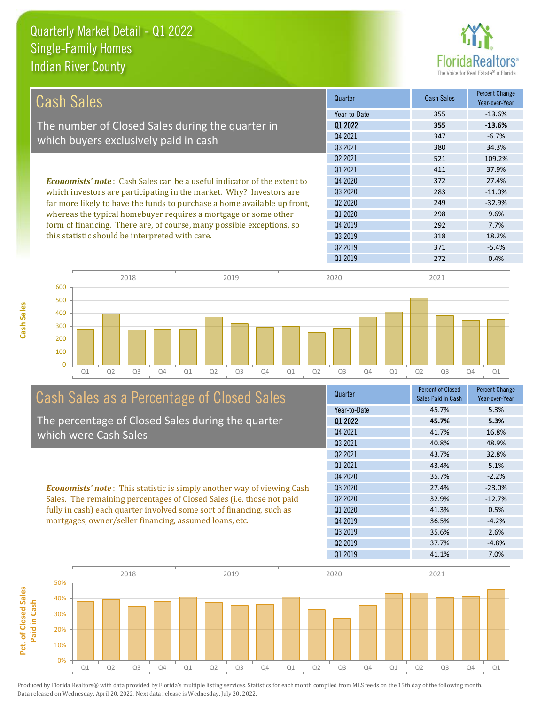**Cash Sales**



| Cash Sales                                                                                                                                      | Quarter             | <b>Cash Sales</b> | <b>Percent Change</b><br>Year-over-Year |
|-------------------------------------------------------------------------------------------------------------------------------------------------|---------------------|-------------------|-----------------------------------------|
|                                                                                                                                                 | Year-to-Date        | 355               | $-13.6%$                                |
| The number of Closed Sales during the quarter in                                                                                                | 01 2022             | 355               | $-13.6%$                                |
| which buyers exclusively paid in cash                                                                                                           | Q4 2021             | 347               | $-6.7%$                                 |
|                                                                                                                                                 | 03 2021             | 380               | 34.3%                                   |
|                                                                                                                                                 | 02 2021             | 521               | 109.2%                                  |
|                                                                                                                                                 | 01 2021             | 411               | 37.9%                                   |
| <b>Economists' note:</b> Cash Sales can be a useful indicator of the extent to                                                                  | Q4 2020             | 372               | 27.4%                                   |
| which investors are participating in the market. Why? Investors are<br>far more likely to have the funds to purchase a home available up front, | 03 20 20            | 283               | $-11.0%$                                |
|                                                                                                                                                 | Q <sub>2</sub> 2020 | 249               | $-32.9%$                                |
| whereas the typical homebuyer requires a mortgage or some other                                                                                 | 01 2020             | 298               | 9.6%                                    |
| form of financing. There are, of course, many possible exceptions, so                                                                           | Q4 2019             | 292               | 7.7%                                    |
| this statistic should be interpreted with care.                                                                                                 | 03 2019             | 318               | 18.2%                                   |
|                                                                                                                                                 | 02 2019             | 371               | $-5.4%$                                 |



## Cash Sales as a Percentage of Closed Sales

The percentage of Closed Sales during the quarter which were Cash Sales

*Economists' note* : This statistic is simply another way of viewing Cash Sales. The remaining percentages of Closed Sales (i.e. those not paid fully in cash) each quarter involved some sort of financing, such as mortgages, owner/seller financing, assumed loans, etc.

| <b>Percent of Closed</b><br>Sales Paid in Cash | <b>Percent Change</b><br>Year-over-Year |
|------------------------------------------------|-----------------------------------------|
| 45.7%                                          | 5.3%                                    |
| 45.7%                                          | 5.3%                                    |
| 41.7%                                          | 16.8%                                   |
| 40.8%                                          | 48.9%                                   |
| 43.7%                                          | 32.8%                                   |
| 43.4%                                          | 5.1%                                    |
| 35.7%                                          | $-2.2%$                                 |
| 27.4%                                          | $-23.0%$                                |
| 32.9%                                          | $-12.7%$                                |
| 41.3%                                          | 0.5%                                    |
| 36.5%                                          | $-4.2%$                                 |
| 35.6%                                          | 2.6%                                    |
| 37.7%                                          | $-4.8%$                                 |
| 41.1%                                          | 7.0%                                    |
|                                                |                                         |

Q1 2019 272 0.4%

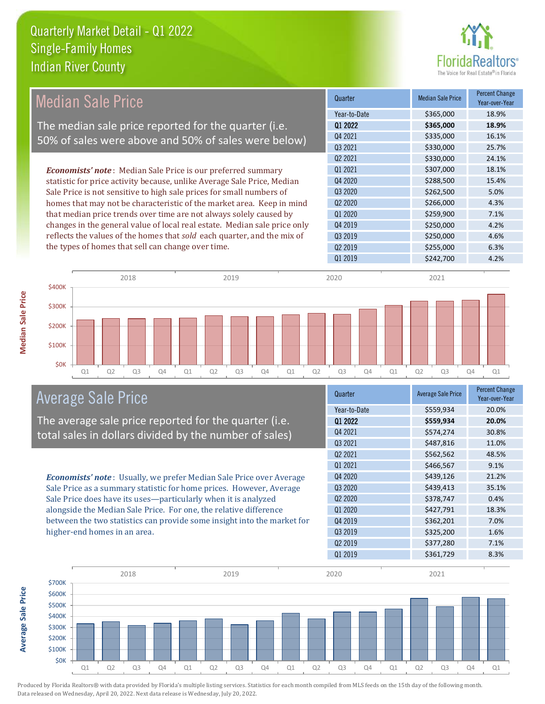

|                                                                           |                                 | <b>Median Sale Price</b> | <b>Percent Change</b><br>Year-over-Year |
|---------------------------------------------------------------------------|---------------------------------|--------------------------|-----------------------------------------|
|                                                                           | Year-to-Date                    | \$365,000                | 18.9%                                   |
| The median sale price reported for the quarter (i.e.                      | 01 2022                         | \$365,000                | 18.9%                                   |
| 50% of sales were above and 50% of sales were below)                      | Q4 2021                         | \$335,000                | 16.1%                                   |
|                                                                           | Q3 2021                         | \$330,000                | 25.7%                                   |
|                                                                           | Q <sub>2</sub> 20 <sub>21</sub> | \$330,000                | 24.1%                                   |
| <b>Economists' note</b> : Median Sale Price is our preferred summary      | Q1 2021                         | \$307,000                | 18.1%                                   |
| statistic for price activity because, unlike Average Sale Price, Median   | Q4 2020                         | \$288,500                | 15.4%                                   |
| Sale Price is not sensitive to high sale prices for small numbers of      | Q3 2020                         | \$262,500                | 5.0%                                    |
| homes that may not be characteristic of the market area. Keep in mind     | Q <sub>2</sub> 2020             | \$266,000                | 4.3%                                    |
| that median price trends over time are not always solely caused by        | Q1 2020                         | \$259,900                | 7.1%                                    |
| changes in the general value of local real estate. Median sale price only | Q4 2019                         | \$250,000                | 4.2%                                    |
| reflects the values of the homes that sold each quarter, and the mix of   | Q3 2019                         | \$250,000                | 4.6%                                    |
| the types of homes that sell can change over time.                        | Q <sub>2</sub> 2019             | \$255,000                | 6.3%                                    |
|                                                                           | Q1 2019                         | \$242,700                | 4.2%                                    |
| 2018<br>2019<br><b>\$400K</b>                                             | 2020                            | 2021                     |                                         |



#### Average Sale Price

The average sale price reported for the quarter (i.e. total sales in dollars divided by the number of sales)

*Economists' note* : Usually, we prefer Median Sale Price over Average Sale Price as a summary statistic for home prices. However, Average Sale Price does have its uses—particularly when it is analyzed alongside the Median Sale Price. For one, the relative difference between the two statistics can provide some insight into the market for higher-end homes in an area.

| Quarter                         | <b>Average Sale Price</b> | <b>Percent Change</b><br>Year-over-Year |
|---------------------------------|---------------------------|-----------------------------------------|
| Year-to-Date                    | \$559,934                 | 20.0%                                   |
| Q1 2022                         | \$559,934                 | 20.0%                                   |
| Q4 2021                         | \$574,274                 | 30.8%                                   |
| Q3 2021                         | \$487,816                 | 11.0%                                   |
| Q <sub>2</sub> 2021             | \$562,562                 | 48.5%                                   |
| 01 2021                         | \$466,567                 | 9.1%                                    |
| Q4 2020                         | \$439,126                 | 21.2%                                   |
| Q3 2020                         | \$439,413                 | 35.1%                                   |
| Q <sub>2</sub> 20 <sub>20</sub> | \$378,747                 | 0.4%                                    |
| Q1 2020                         | \$427,791                 | 18.3%                                   |
| Q4 2019                         | \$362,201                 | 7.0%                                    |
| Q3 2019                         | \$325,200                 | 1.6%                                    |
| Q <sub>2</sub> 2019             | \$377,280                 | 7.1%                                    |
| Q1 2019                         | \$361,729                 | 8.3%                                    |

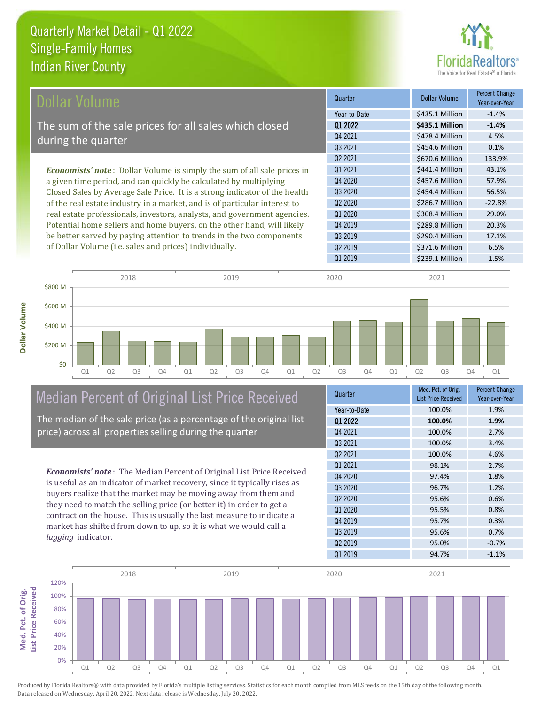**Dollar Volume**



| Dollar Volume                                                                   | Quarter             | <b>Dollar Volume</b> | <b>Percent Change</b><br>Year-over-Year |
|---------------------------------------------------------------------------------|---------------------|----------------------|-----------------------------------------|
|                                                                                 | Year-to-Date        | \$435.1 Million      | $-1.4%$                                 |
| The sum of the sale prices for all sales which closed                           | Q1 2022             | \$435.1 Million      | $-1.4%$                                 |
|                                                                                 | Q4 2021             | \$478.4 Million      | 4.5%                                    |
| during the quarter                                                              | Q3 2021             | \$454.6 Million      | 0.1%                                    |
|                                                                                 | Q <sub>2</sub> 2021 | \$670.6 Million      | 133.9%                                  |
| <b>Economists' note</b> : Dollar Volume is simply the sum of all sale prices in | Q1 2021             | \$441.4 Million      | 43.1%                                   |
| a given time period, and can quickly be calculated by multiplying               | Q4 2020             | \$457.6 Million      | 57.9%                                   |
| Closed Sales by Average Sale Price. It is a strong indicator of the health      | Q3 2020             | \$454.4 Million      | 56.5%                                   |
| of the real estate industry in a market, and is of particular interest to       | Q <sub>2</sub> 2020 | \$286.7 Million      | $-22.8%$                                |
| real estate professionals, investors, analysts, and government agencies.        | Q1 2020             | \$308.4 Million      | 29.0%                                   |
| Potential home sellers and home buyers, on the other hand, will likely          | Q4 2019             | \$289.8 Million      | 20.3%                                   |
| be better served by paying attention to trends in the two components            | Q3 2019             | \$290.4 Million      | 17.1%                                   |
| of Dollar Volume (i.e. sales and prices) individually.                          | Q <sub>2</sub> 2019 | \$371.6 Million      | 6.5%                                    |



#### Median Percent of Original List Price Received

The median of the sale price (as a percentage of the original list price) across all properties selling during the quarter

*Economists' note* : The Median Percent of Original List Price Received is useful as an indicator of market recovery, since it typically rises as buyers realize that the market may be moving away from them and they need to match the selling price (or better it) in order to get a contract on the house. This is usually the last measure to indicate a market has shifted from down to up, so it is what we would call a *lagging* indicator.

| Quarter             | Med. Pct. of Orig.<br><b>List Price Received</b> | <b>Percent Change</b><br>Year-over-Year |
|---------------------|--------------------------------------------------|-----------------------------------------|
| Year-to-Date        | 100.0%                                           | 1.9%                                    |
| Q1 2022             | 100.0%                                           | 1.9%                                    |
| 04 2021             | 100.0%                                           | 2.7%                                    |
| Q3 2021             | 100.0%                                           | 3.4%                                    |
| Q <sub>2</sub> 2021 | 100.0%                                           | 4.6%                                    |
| 01 2021             | 98.1%                                            | 2.7%                                    |
| Q4 2020             | 97.4%                                            | 1.8%                                    |
| Q3 2020             | 96.7%                                            | 1.2%                                    |
| Q <sub>2</sub> 2020 | 95.6%                                            | 0.6%                                    |
| Q1 2020             | 95.5%                                            | 0.8%                                    |
| 04 2019             | 95.7%                                            | 0.3%                                    |
| Q3 2019             | 95.6%                                            | 0.7%                                    |
| Q <sub>2</sub> 2019 | 95.0%                                            | $-0.7%$                                 |
| Q1 2019             | 94.7%                                            | $-1.1%$                                 |

Q1 2019 \$239.1 Million 1.5%

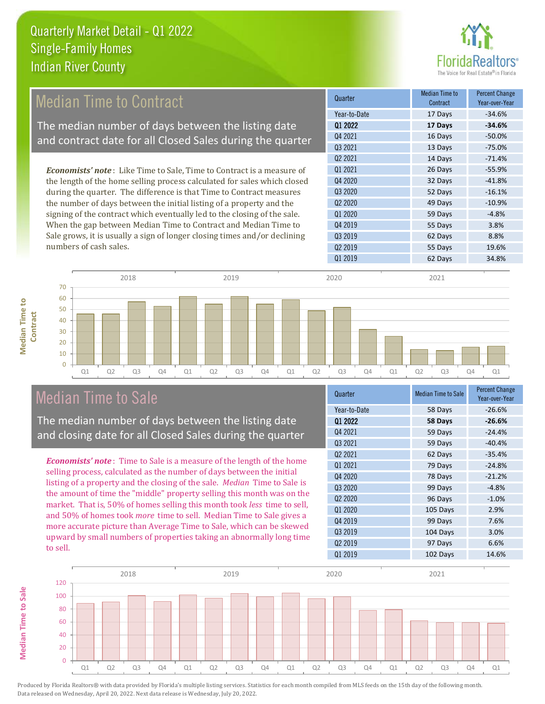

#### 13 Days -75.0% Q2 2021 14 Days -71.4% Q1 2020 59 Days -4.8% Quarter Median Time to **Median Time to Contract** Percent Change Year-over-Year Q1 2022 **17 Days -34.6%** Year-to-Date 17 Days -34.6% Q4 2021 16 Days -50.0% Q3 2021 Q3 2020 52 Days -16.1% Q2 2020 49 Days -10.9% Q1 2021 26 Days -55.9% Q4 2020 32 Days -41.8% 55 Days 3.8% Q3 2019 62 Days 8.8% Q4 2019 Q2 2019 **55 Days** 19.6% *Economists' note* : Like Time to Sale, Time to Contract is a measure of the length of the home selling process calculated for sales which closed during the quarter. The difference is that Time to Contract measures the number of days between the initial listing of a property and the signing of the contract which eventually led to the closing of the sale. When the gap between Median Time to Contract and Median Time to Sale grows, it is usually a sign of longer closing times and/or declining numbers of cash sales. Median Time to Contract The median number of days between the listing date and contract date for all Closed Sales during the quarter



#### Median Time to Sale

**Median Time to Sale**

**Median Time to Sale** 

**Median Time to** 

**Median Time to** 

The median number of days between the listing date and closing date for all Closed Sales during the quarter

*Economists' note* : Time to Sale is a measure of the length of the home selling process, calculated as the number of days between the initial listing of a property and the closing of the sale. *Median* Time to Sale is the amount of time the "middle" property selling this month was on the market. That is, 50% of homes selling this month took *less* time to sell, and 50% of homes took *more* time to sell. Median Time to Sale gives a more accurate picture than Average Time to Sale, which can be skewed upward by small numbers of properties taking an abnormally long time to sell.

| Quarter             | <b>Median Time to Sale</b> | <b>Percent Change</b><br>Year-over-Year |
|---------------------|----------------------------|-----------------------------------------|
| Year-to-Date        | 58 Days                    | $-26.6%$                                |
| Q1 2022             | 58 Days                    | $-26.6%$                                |
| Q4 2021             | 59 Days                    | $-24.4%$                                |
| Q3 2021             | 59 Days                    | $-40.4%$                                |
| 02 2021             | 62 Days                    | $-35.4%$                                |
| 01 2021             | 79 Days                    | $-24.8%$                                |
| Q4 2020             | 78 Days                    | $-21.2%$                                |
| Q3 2020             | 99 Days                    | $-4.8%$                                 |
| Q <sub>2</sub> 2020 | 96 Days                    | $-1.0%$                                 |
| Q1 2020             | 105 Days                   | 2.9%                                    |
| Q4 2019             | 99 Days                    | 7.6%                                    |
| Q3 2019             | 104 Days                   | 3.0%                                    |
| Q <sub>2</sub> 2019 | 97 Days                    | 6.6%                                    |
| Q1 2019             | 102 Days                   | 14.6%                                   |

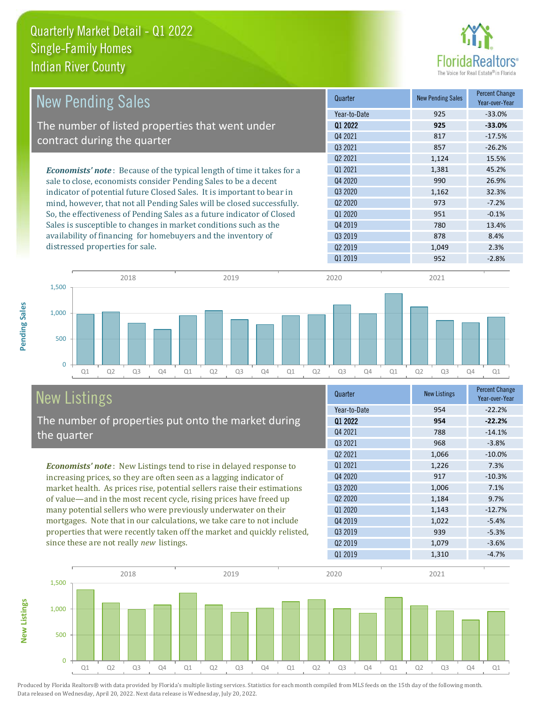

| <b>New Pending Sales</b>                                                      | Quarter             | <b>New Pending Sales</b> | <b>Percent Change</b><br>Year-over-Year |
|-------------------------------------------------------------------------------|---------------------|--------------------------|-----------------------------------------|
|                                                                               | Year-to-Date        | 925                      | $-33.0%$                                |
| The number of listed properties that went under                               | 01 2022             | 925                      | $-33.0%$                                |
| contract during the quarter                                                   | Q4 2021             | 817                      | $-17.5%$                                |
|                                                                               | 03 2021             | 857                      | $-26.2%$                                |
|                                                                               | 02 2021             | 1,124                    | 15.5%                                   |
| <b>Economists' note:</b> Because of the typical length of time it takes for a | 01 2021             | 1.381                    | 45.2%                                   |
| sale to close, economists consider Pending Sales to be a decent               | Q4 2020             | 990                      | 26.9%                                   |
| indicator of potential future Closed Sales. It is important to bear in        | Q3 2020             | 1,162                    | 32.3%                                   |
| mind, however, that not all Pending Sales will be closed successfully.        | Q <sub>2</sub> 2020 | 973                      | $-7.2%$                                 |
| So, the effectiveness of Pending Sales as a future indicator of Closed        | 01 2020             | 951                      | $-0.1%$                                 |
| Sales is susceptible to changes in market conditions such as the              | Q4 2019             | 780                      | 13.4%                                   |
| availability of financing for homebuyers and the inventory of                 | Q3 2019             | 878                      | 8.4%                                    |
| distressed properties for sale.                                               | 02 2019             | 1,049                    | 2.3%                                    |
|                                                                               | 01 2019             | 952                      | $-2.8%$                                 |

**New Listings**



### New Listings

The number of properties put onto the market during the quarter

*Economists' note* : New Listings tend to rise in delayed response to increasing prices, so they are often seen as a lagging indicator of market health. As prices rise, potential sellers raise their estimations of value—and in the most recent cycle, rising prices have freed up many potential sellers who were previously underwater on their mortgages. Note that in our calculations, we take care to not include properties that were recently taken off the market and quickly relisted, since these are not really *new* listings.

| Quarter                         | <b>New Listings</b> | <b>Percent Change</b><br>Year-over-Year |
|---------------------------------|---------------------|-----------------------------------------|
| Year-to-Date                    | 954                 | $-22.2%$                                |
| Q1 2022                         | 954                 | $-22.2%$                                |
| Q4 2021                         | 788                 | $-14.1%$                                |
| Q3 2021                         | 968                 | $-3.8%$                                 |
| Q <sub>2</sub> 2021             | 1,066               | $-10.0%$                                |
| 01 2021                         | 1,226               | 7.3%                                    |
| Q4 2020                         | 917                 | $-10.3%$                                |
| Q3 2020                         | 1,006               | 7.1%                                    |
| Q <sub>2</sub> 20 <sub>20</sub> | 1,184               | 9.7%                                    |
| Q1 2020                         | 1,143               | $-12.7%$                                |
| Q4 2019                         | 1,022               | $-5.4%$                                 |
| Q3 2019                         | 939                 | $-5.3%$                                 |
| Q <sub>2</sub> 2019             | 1,079               | $-3.6%$                                 |
| Q1 2019                         | 1,310               | $-4.7%$                                 |

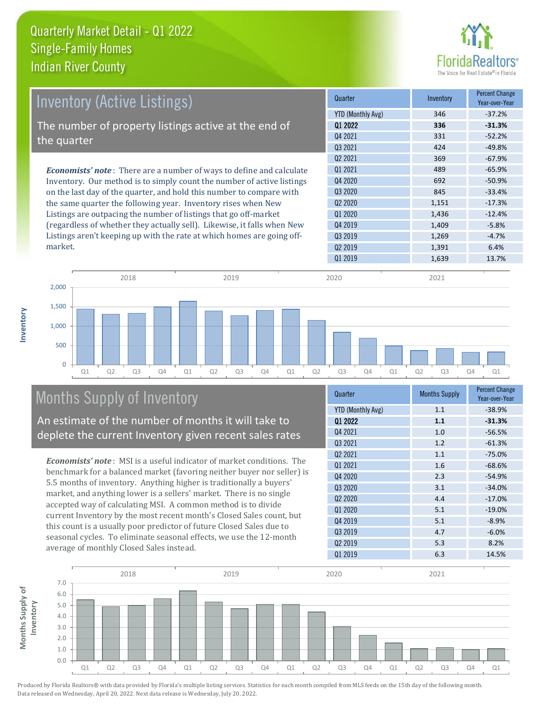

| Inventory (Active Listings)                                                  | Quarter             | Inventory | <b>Percent Change</b><br>Year-over-Year |
|------------------------------------------------------------------------------|---------------------|-----------|-----------------------------------------|
|                                                                              | YTD (Monthly Avg)   | 346       | $-37.2%$                                |
| The number of property listings active at the end of                         | 01 2022             | 336       | $-31.3%$                                |
| the quarter                                                                  | Q4 2021             | 331       | $-52.2%$                                |
|                                                                              | 03 2021             | 424       | $-49.8%$                                |
|                                                                              | Q <sub>2</sub> 2021 | 369       | $-67.9%$                                |
| <b>Economists' note</b> : There are a number of ways to define and calculate | 01 2021             | 489       | $-65.9%$                                |
| Inventory. Our method is to simply count the number of active listings       | Q4 2020             | 692       | $-50.9%$                                |
| on the last day of the quarter, and hold this number to compare with         | Q3 2020             | 845       | $-33.4%$                                |
| the same quarter the following year. Inventory rises when New                | Q <sub>2</sub> 2020 | 1,151     | $-17.3%$                                |
| Listings are outpacing the number of listings that go off-market             | Q1 2020             | 1,436     | $-12.4%$                                |
| (regardless of whether they actually sell). Likewise, it falls when New      | Q4 2019             | 1,409     | $-5.8%$                                 |
| Listings aren't keeping up with the rate at which homes are going off-       | Q3 2019             | 1,269     | $-4.7%$                                 |



#### Months Supply of Inventory

An estimate of the number of months it will take to deplete the current Inventory given recent sales rates

*Economists' note* : MSI is a useful indicator of market conditions. The benchmark for a balanced market (favoring neither buyer nor seller) is 5.5 months of inventory. Anything higher is traditionally a buyers' market, and anything lower is a sellers' market. There is no single accepted way of calculating MSI. A common method is to divide current Inventory by the most recent month's Closed Sales count, but this count is a usually poor predictor of future Closed Sales due to seasonal cycles. To eliminate seasonal effects, we use the 12-month average of monthly Closed Sales instead.

| Quarter                         | <b>Months Supply</b> | <b>Percent Change</b><br>Year-over-Year |  |
|---------------------------------|----------------------|-----------------------------------------|--|
| <b>YTD (Monthly Avg)</b>        | 1.1                  | $-38.9%$                                |  |
| Q1 2022                         | 1.1                  | $-31.3%$                                |  |
| Q4 2021                         | 1.0                  | $-56.5%$                                |  |
| Q3 2021                         | 1.2                  | $-61.3%$                                |  |
| 02 2021                         | 1.1                  | $-75.0%$                                |  |
| 01 2021                         | 1.6                  | $-68.6%$                                |  |
| Q4 2020                         | 2.3                  | $-54.9%$                                |  |
| Q <sub>3</sub> 2020             | 3.1                  | $-34.0%$                                |  |
| Q <sub>2</sub> 20 <sub>20</sub> | 4.4                  | $-17.0%$                                |  |
| Q1 2020                         | 5.1                  | $-19.0%$                                |  |
| Q4 2019                         | 5.1                  | $-8.9%$                                 |  |
| Q3 2019                         | 4.7                  | $-6.0%$                                 |  |
| Q <sub>2</sub> 2019             | 5.3                  | 8.2%                                    |  |
| Q1 2019                         | 6.3                  | 14.5%                                   |  |

Q2 2019 **1,391** 6.4%



Produced by Florida Realtors® with data provided by Florida's multiple listing services. Statistics for each month compiled from MLS feeds on the 15th day of the following month. Data released on Wednesday, April 20, 2022. Next data release is Wednesday, July 20, 2022.

market.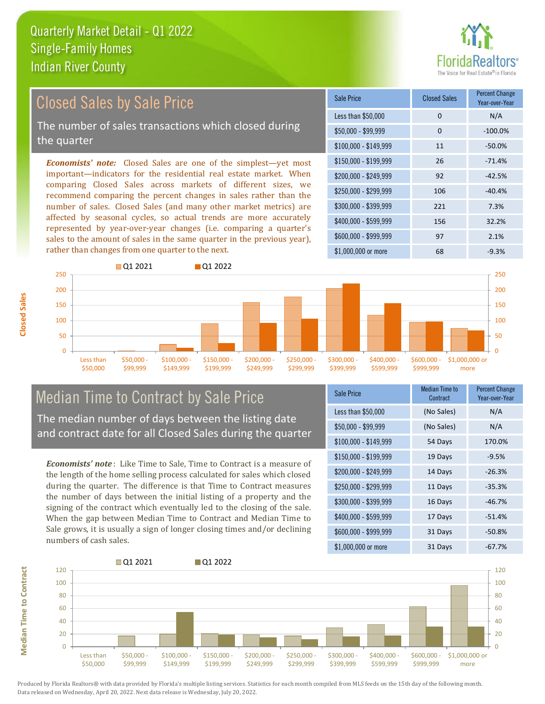# altors<sup>®</sup>

#### Closed Sales by Sale Price

The number of sales transactions which closed during the quarter

*Economists' note:* Closed Sales are one of the simplest—yet most important—indicators for the residential real estate market. When comparing Closed Sales across markets of different sizes, we recommend comparing the percent changes in sales rather than the number of sales. Closed Sales (and many other market metrics) are affected by seasonal cycles, so actual trends are more accurately represented by year-over-year changes (i.e. comparing a quarter's sales to the amount of sales in the same quarter in the previous year), rather than changes from one quarter to the next.





## Median Time to Contract by Sale Price

The median number of days between the listing date and contract date for all Closed Sales during the quarter

*Economists' note* : Like Time to Sale, Time to Contract is a measure of the length of the home selling process calculated for sales which closed during the quarter. The difference is that Time to Contract measures the number of days between the initial listing of a property and the signing of the contract which eventually led to the closing of the sale. When the gap between Median Time to Contract and Median Time to Sale grows, it is usually a sign of longer closing times and/or declining numbers of cash sales.

| <b>Sale Price</b>     | Median Time to<br>Contract | <b>Percent Change</b><br>Year-over-Year |  |
|-----------------------|----------------------------|-----------------------------------------|--|
| Less than \$50,000    | (No Sales)                 | N/A                                     |  |
| $$50,000 - $99,999$   | (No Sales)                 | N/A                                     |  |
| $$100,000 - $149,999$ | 54 Days                    | 170.0%                                  |  |
| $$150,000 - $199,999$ | 19 Days                    | $-9.5%$                                 |  |
| \$200,000 - \$249,999 | 14 Days                    | $-26.3%$                                |  |
| \$250,000 - \$299,999 | 11 Days                    | $-35.3%$                                |  |
| $$300,000 - $399,999$ | 16 Days                    | $-46.7%$                                |  |
| \$400,000 - \$599,999 | 17 Days                    | $-51.4%$                                |  |
| $$600,000 - $999,999$ | 31 Days                    | $-50.8%$                                |  |
| $$1,000,000$ or more  | 31 Days                    | $-67.7%$                                |  |



Produced by Florida Realtors® with data provided by Florida's multiple listing services. Statistics for each month compiled from MLS feeds on the 15th day of the following month. Data released on Wednesday, April 20, 2022. Next data release is Wednesday, July 20, 2022.

**Median Time to Contract Median Time to Contract**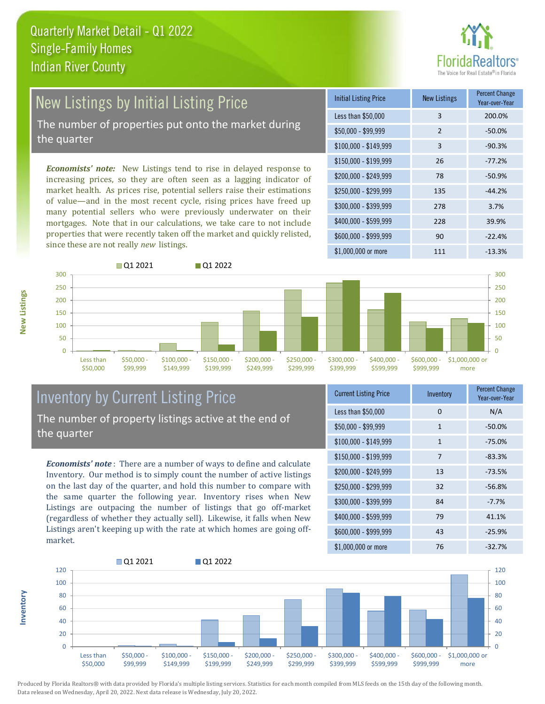## ealtors®

### New Listings by Initial Listing Price The number of properties put onto the market during

the quarter

*Economists' note:* New Listings tend to rise in delayed response to increasing prices, so they are often seen as a lagging indicator of market health. As prices rise, potential sellers raise their estimations of value—and in the most recent cycle, rising prices have freed up many potential sellers who were previously underwater on their mortgages. Note that in our calculations, we take care to not include properties that were recently taken off the market and quickly relisted, since these are not really *new* listings.





#### Inventory by Current Listing Price The number of property listings active at the end of the quarter

*Economists' note* : There are a number of ways to define and calculate Inventory. Our method is to simply count the number of active listings on the last day of the quarter, and hold this number to compare with the same quarter the following year. Inventory rises when New Listings are outpacing the number of listings that go off-market (regardless of whether they actually sell). Likewise, it falls when New Listings aren't keeping up with the rate at which homes are going offmarket.

| <b>Current Listing Price</b> | Inventory      | <b>Percent Change</b><br>Year-over-Year |  |
|------------------------------|----------------|-----------------------------------------|--|
| Less than \$50,000           | 0              | N/A                                     |  |
| $$50,000 - $99,999$          | $\mathbf{1}$   | $-50.0%$                                |  |
| $$100,000 - $149,999$        | $\mathbf{1}$   | $-75.0%$                                |  |
| $$150,000 - $199,999$        | $\overline{7}$ | $-83.3%$                                |  |
| \$200,000 - \$249,999        | 13             | $-73.5%$                                |  |
| \$250,000 - \$299,999        | 32             | $-56.8%$                                |  |
| \$300,000 - \$399,999        | 84             | $-7.7%$                                 |  |
| $$400,000 - $599,999$        | 79             | 41.1%                                   |  |
| \$600,000 - \$999,999        | 43             | $-25.9%$                                |  |
| $$1,000,000$ or more         | 76             | $-32.7%$                                |  |



Produced by Florida Realtors® with data provided by Florida's multiple listing services. Statistics for each month compiled from MLS feeds on the 15th day of the following month. Data released on Wednesday, April 20, 2022. Next data release is Wednesday, July 20, 2022.

**Inventory**